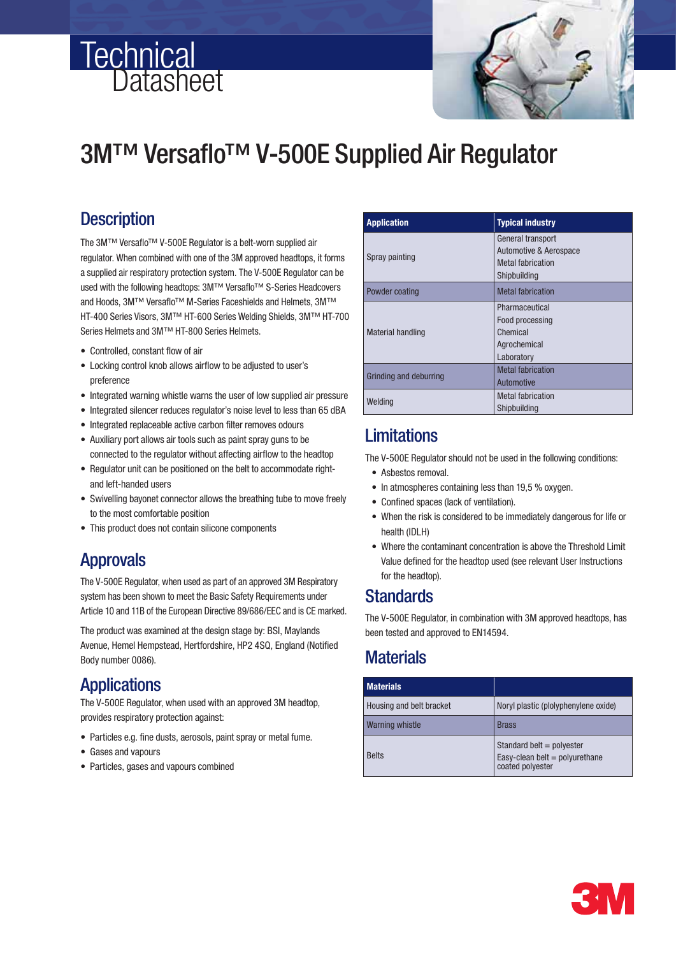# **Technical** Datasheet



# 3M™ Versaflo™ V-500E Supplied Air Regulator

# **Description**

The 3M™ Versaflo™ V-500E Regulator is a belt-worn supplied air regulator. When combined with one of the 3M approved headtops, it forms a supplied air respiratory protection system. The V-500E Regulator can be used with the following headtops: 3M™ Versaflo™ S-Series Headcovers and Hoods, 3M™ Versaflo™ M-Series Faceshields and Helmets, 3M™ HT-400 Series Visors, 3M™ HT-600 Series Welding Shields, 3M™ HT-700 Series Helmets and 3M™ HT-800 Series Helmets.

- Controlled, constant flow of air
- Locking control knob allows airflow to be adjusted to user's preference
- Integrated warning whistle warns the user of low supplied air pressure
- Integrated silencer reduces regulator's noise level to less than 65 dBA
- Integrated replaceable active carbon filter removes odours
- Auxiliary port allows air tools such as paint spray guns to be connected to the regulator without affecting airflow to the headtop
- Regulator unit can be positioned on the belt to accommodate rightand left-handed users
- Swivelling bayonet connector allows the breathing tube to move freely to the most comfortable position
- This product does not contain silicone components

# Approvals

The V-500E Regulator, when used as part of an approved 3M Respiratory system has been shown to meet the Basic Safety Requirements under Article 10 and 11B of the European Directive 89/686/EEC and is CE marked.

The product was examined at the design stage by: BSI, Maylands Avenue, Hemel Hempstead, Hertfordshire, HP2 4SQ, England (Notified Body number 0086).

# Applications

The V-500E Regulator, when used with an approved 3M headtop, provides respiratory protection against:

- Particles e.g. fine dusts, aerosols, paint spray or metal fume.
- Gases and vapours
- Particles, gases and vapours combined

| <b>Application</b>       | <b>Typical industry</b>                                                                 |
|--------------------------|-----------------------------------------------------------------------------------------|
| Spray painting           | General transport<br>Automotive & Aerospace<br><b>Metal fabrication</b><br>Shipbuilding |
| Powder coating           | <b>Metal fabrication</b>                                                                |
| <b>Material handling</b> | Pharmaceutical<br>Food processing<br>Chemical<br>Agrochemical<br>Laboratory             |
| Grinding and deburring   | <b>Metal fabrication</b><br>Automotive                                                  |
| Welding                  | <b>Metal fabrication</b><br>Shipbuilding                                                |

# **Limitations**

The V-500E Regulator should not be used in the following conditions:

- Asbestos removal.
- In atmospheres containing less than 19,5 % oxygen.
- Confined spaces (lack of ventilation).
- When the risk is considered to be immediately dangerous for life or health (IDLH)
- Where the contaminant concentration is above the Threshold Limit Value defined for the headtop used (see relevant User Instructions for the headtop).

### **Standards**

 The V-500E Regulator, in combination with 3M approved headtops, has been tested and approved to EN14594.

# **Materials**

| <b>Materials</b>         |                                                                                     |
|--------------------------|-------------------------------------------------------------------------------------|
| Housing and belt bracket | Noryl plastic (plolyphenylene oxide)                                                |
| <b>Warning whistle</b>   | <b>Brass</b>                                                                        |
| <b>Belts</b>             | Standard belt = $polyester$<br>Easy-clean belt = $polyurethane$<br>coated polyester |